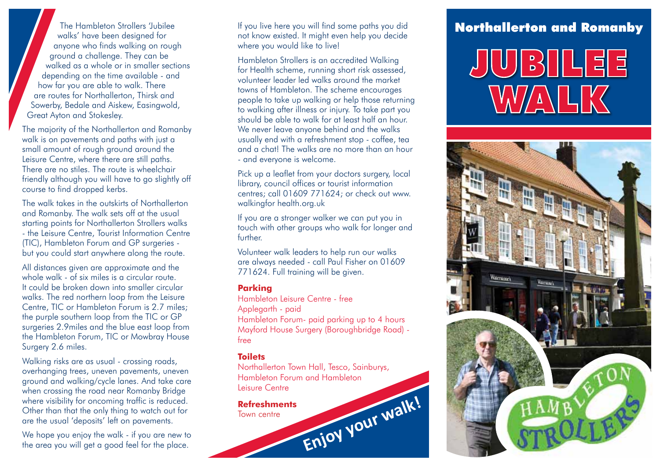anyone who finds walking on rough ground a challenge. They can be walked as a whole or in smaller sections depending on the time available - and how far you are able to walk. There are routes for Northallerton, Thirsk and Sowerby, Bedale and Aiskew, Easingwold, Great Ayton and Stokesley.

The majority of the Northallerton and Romanby walk is on pavements and paths with just a small amount of rough ground around the Leisure Centre, where there are still paths. There are no stiles. The route is wheelchair friendly although you will have to go slightly off course to find dropped kerbs.

The walk takes in the outskirts of Northallerton and Romanby. The walk sets off at the usual starting points for Northallerton Strollers walks - the Leisure Centre, Tourist Information Centre (TIC), Hambleton Forum and GP surgeries but you could start anywhere along the route.

All distances given are approximate and the whole walk - of six miles is a circular route. It could be broken down into smaller circular walks. The red northern loop from the Leisure Centre, TIC or Hambleton Forum is 2.7 miles; the purple southern loop from the TIC or GP surgeries 2.9miles and the blue east loop from the Hambleton Forum, TIC or Mowbray House Surgery 2.6 miles.

Walking risks are as usual - crossing roads, overhanging trees, uneven pavements, uneven ground and walking/cycle lanes. And take care when crossing the road near Romanby Bridge where visibility for oncoming traffic is reduced. Other than that the only thing to watch out for are the usual 'deposits' left on pavements.

We hope you enjoy the walk - if you are new to the area you will get a good feel for the place.

The Hambleton Strollers 'Jubilee If you live here you will find some paths you did<br>walks' have been designed for a small that have existed. It might even help you decide If you live here you will find some paths you did not know existed. It might even help you decide where you would like to live!

> Hambleton Strollers is an accredited Walking for Health scheme, running short risk assessed, volunteer leader led walks around the market towns of Hambleton. The scheme encourages people to take up walking or help those returning to walking after illness or injury. To take part you should be able to walk for at least half an hour. We never leave anyone behind and the walks usually end with a refreshment stop - coffee, tea and a chat! The walks are no more than an hour - and everyone is welcome.

Pick up a leaflet from your doctors surgery, local library, council offices or tourist information centres; call 01609 771624; or check out www. walkingfor health.org.uk

If you are a stronger walker we can put you in touch with other groups who walk for longer and further.

Volunteer walk leaders to help run our walks are always needed - call Paul Fisher on 01609 771624. Full training will be given.

## **Parking**

Hambleton Leisure Centre - free Applegarth - paid Hambleton Forum- paid parking up to 4 hours Mayford House Surgery (Boroughbridge Road) free

## **Toilets**

Northallerton Town Hall, Tesco, Sainburys, Hambleton Forum and Hambleton Leisure Centre Town centre<br> **Enjoy your walk!** 

## **Refreshments**

**JUISILLE**  $\big/ \Lambda \big.$